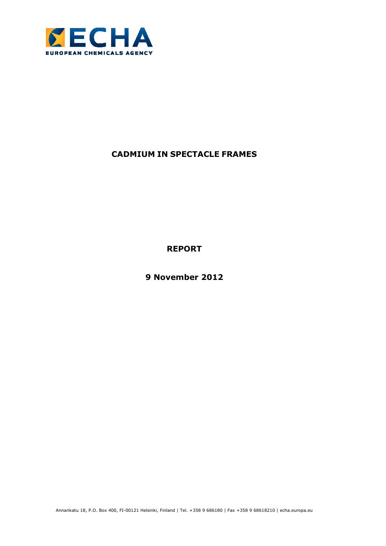

# **CADMIUM IN SPECTACLE FRAMES**

**REPORT** 

**9 November 2012**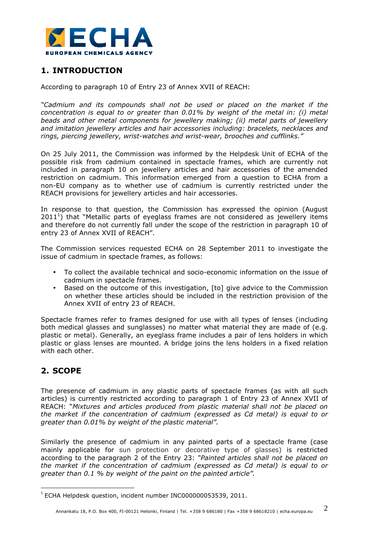

## **1. INTRODUCTION**

According to paragraph 10 of Entry 23 of Annex XVII of REACH:

*"Cadmium and its compounds shall not be used or placed on the market if the concentration is equal to or greater than 0.01% by weight of the metal in: (i) metal beads and other metal components for jewellery making; (ii) metal parts of jewellery and imitation jewellery articles and hair accessories including: bracelets, necklaces and rings, piercing jewellery, wrist-watches and wrist-wear, brooches and cufflinks."* 

On 25 July 2011, the Commission was informed by the Helpdesk Unit of ECHA of the possible risk from cadmium contained in spectacle frames, which are currently not included in paragraph 10 on jewellery articles and hair accessories of the amended restriction on cadmium. This information emerged from a question to ECHA from a non-EU company as to whether use of cadmium is currently restricted under the REACH provisions for jewellery articles and hair accessories.

In response to that question, the Commission has expressed the opinion (August  $2011<sup>1</sup>$ ) that "Metallic parts of eyeglass frames are not considered as jewellery items and therefore do not currently fall under the scope of the restriction in paragraph 10 of entry 23 of Annex XVII of REACH".

The Commission services requested ECHA on 28 September 2011 to investigate the issue of cadmium in spectacle frames, as follows:

- To collect the available technical and socio-economic information on the issue of cadmium in spectacle frames.
- Based on the outcome of this investigation, [to] give advice to the Commission on whether these articles should be included in the restriction provision of the Annex XVII of entry 23 of REACH.

Spectacle frames refer to frames designed for use with all types of lenses (including both medical glasses and sunglasses) no matter what material they are made of (e.g. plastic or metal). Generally, an eyeglass frame includes a pair of lens holders in which plastic or glass lenses are mounted. A bridge joins the lens holders in a fixed relation with each other.

# **2. SCOPE**

 $\overline{a}$ 

The presence of cadmium in any plastic parts of spectacle frames (as with all such articles) is currently restricted according to paragraph 1 of Entry 23 of Annex XVII of REACH: "*Mixtures and articles produced from plastic material shall not be placed on the market if the concentration of cadmium (expressed as Cd metal) is equal to or greater than 0.01% by weight of the plastic material".*

Similarly the presence of cadmium in any painted parts of a spectacle frame (case mainly applicable for sun protection or decorative type of glasses) is restricted according to the paragraph 2 of the Entry 23: *"Painted articles shall not be placed on the market if the concentration of cadmium (expressed as Cd metal) is equal to or greater than 0.1 % by weight of the paint on the painted article".*

<sup>&</sup>lt;sup>1</sup> ECHA Helpdesk question, incident number INC000000053539, 2011.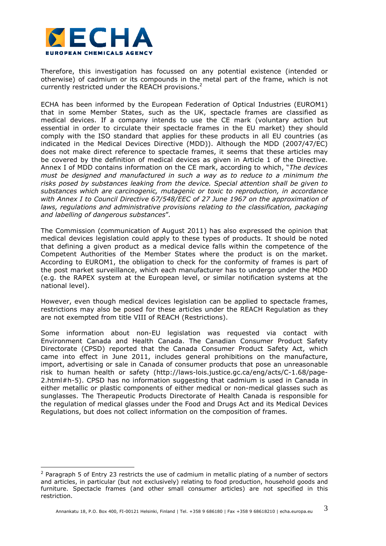

 $\overline{a}$ 

Therefore, this investigation has focussed on any potential existence (intended or otherwise) of cadmium or its compounds in the metal part of the frame, which is not currently restricted under the REACH provisions.<sup>2</sup>

ECHA has been informed by the European Federation of Optical Industries (EUROM1) that in some Member States, such as the UK, spectacle frames are classified as medical devices. If a company intends to use the CE mark (voluntary action but essential in order to circulate their spectacle frames in the EU market) they should comply with the ISO standard that applies for these products in all EU countries (as indicated in the Medical Devices Directive (MDD)). Although the MDD (2007/47/EC) does not make direct reference to spectacle frames, it seems that these articles may be covered by the definition of medical devices as given in Article 1 of the Directive. Annex I of MDD contains information on the CE mark, according to which, "*The devices must be designed and manufactured in such a way as to reduce to a minimum the risks posed by substances leaking from the device. Special attention shall be given to substances which are carcinogenic, mutagenic or toxic to reproduction, in accordance with Annex I to Council Directive 67/548/EEC of 27 June 1967 on the approximation of*  laws, regulations and administrative provisions relating to the classification, packaging *and labelling of dangerous substances*"*.*

The Commission (communication of August 2011) has also expressed the opinion that medical devices legislation could apply to these types of products. It should be noted that defining a given product as a medical device falls within the competence of the Competent Authorities of the Member States where the product is on the market. According to EUROM1, the obligation to check for the conformity of frames is part of the post market surveillance, which each manufacturer has to undergo under the MDD (e.g. the RAPEX system at the European level, or similar notification systems at the national level).

However, even though medical devices legislation can be applied to spectacle frames, restrictions may also be posed for these articles under the REACH Regulation as they are not exempted from title VIII of REACH (Restrictions).

Some information about non-EU legislation was requested via contact with Environment Canada and Health Canada. The Canadian Consumer Product Safety Directorate (CPSD) reported that the Canada Consumer Product Safety Act, which came into effect in June 2011, includes general prohibitions on the manufacture, import, advertising or sale in Canada of consumer products that pose an unreasonable risk to human health or safety (http://laws-lois.justice.gc.ca/eng/acts/C-1.68/page-2.html#h-5). CPSD has no information suggesting that cadmium is used in Canada in either metallic or plastic components of either medical or non-medical glasses such as sunglasses. The Therapeutic Products Directorate of Health Canada is responsible for the regulation of medical glasses under the Food and Drugs Act and its Medical Devices Regulations, but does not collect information on the composition of frames.

 $2$  Paragraph 5 of Entry 23 restricts the use of cadmium in metallic plating of a number of sectors and articles, in particular (but not exclusively) relating to food production, household goods and furniture. Spectacle frames (and other small consumer articles) are not specified in this restriction.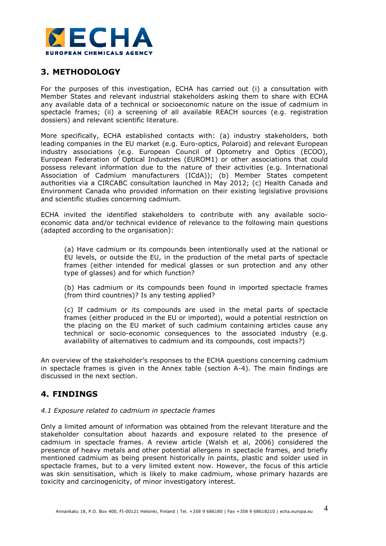

# **3. METHODOLOGY**

For the purposes of this investigation, ECHA has carried out (i) a consultation with Member States and relevant industrial stakeholders asking them to share with ECHA any available data of a technical or socioeconomic nature on the issue of cadmium in spectacle frames; (ii) a screening of all available REACH sources (e.g. registration dossiers) and relevant scientific literature.

More specifically, ECHA established contacts with: (a) industry stakeholders, both leading companies in the EU market (e.g. Euro-optics, Polaroid) and relevant European industry associations (e.g. European Council of Optometry and Optics (ECOO), European Federation of Optical Industries (EUROM1) or other associations that could possess relevant information due to the nature of their activities (e.g. International Association of Cadmium manufacturers (ICdA)); (b) Member States competent authorities via a CIRCABC consultation launched in May 2012; (c) Health Canada and Environment Canada who provided information on their existing legislative provisions and scientific studies concerning cadmium.

ECHA invited the identified stakeholders to contribute with any available socioeconomic data and/or technical evidence of relevance to the following main questions (adapted according to the organisation):

(a) Have cadmium or its compounds been intentionally used at the national or EU levels, or outside the EU, in the production of the metal parts of spectacle frames (either intended for medical glasses or sun protection and any other type of glasses) and for which function?

(b) Has cadmium or its compounds been found in imported spectacle frames (from third countries)? Is any testing applied?

(c) If cadmium or its compounds are used in the metal parts of spectacle frames (either produced in the EU or imported), would a potential restriction on the placing on the EU market of such cadmium containing articles cause any technical or socio-economic consequences to the associated industry (e.g. availability of alternatives to cadmium and its compounds, cost impacts?)

An overview of the stakeholder's responses to the ECHA questions concerning cadmium in spectacle frames is given in the Annex table (section A-4). The main findings are discussed in the next section.

## **4. FINDINGS**

### *4.1 Exposure related to cadmium in spectacle frames*

Only a limited amount of information was obtained from the relevant literature and the stakeholder consultation about hazards and exposure related to the presence of cadmium in spectacle frames. A review article (Walsh et al, 2006) considered the presence of heavy metals and other potential allergens in spectacle frames, and briefly mentioned cadmium as being present historically in paints, plastic and solder used in spectacle frames, but to a very limited extent now. However, the focus of this article was skin sensitisation, which is likely to make cadmium, whose primary hazards are toxicity and carcinogenicity, of minor investigatory interest.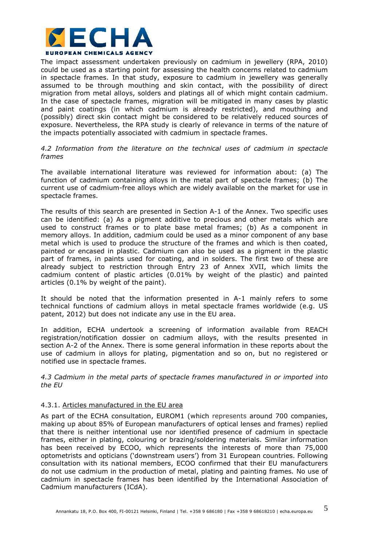

The impact assessment undertaken previously on cadmium in jewellery (RPA, 2010) could be used as a starting point for assessing the health concerns related to cadmium in spectacle frames. In that study, exposure to cadmium in jewellery was generally assumed to be through mouthing and skin contact, with the possibility of direct migration from metal alloys, solders and platings all of which might contain cadmium. In the case of spectacle frames, migration will be mitigated in many cases by plastic and paint coatings (in which cadmium is already restricted), and mouthing and (possibly) direct skin contact might be considered to be relatively reduced sources of exposure. Nevertheless, the RPA study is clearly of relevance in terms of the nature of the impacts potentially associated with cadmium in spectacle frames.

### *4.2 Information from the literature on the technical uses of cadmium in spectacle frames*

The available international literature was reviewed for information about: (a) The function of cadmium containing alloys in the metal part of spectacle frames; (b) The current use of cadmium-free alloys which are widely available on the market for use in spectacle frames.

The results of this search are presented in Section A-1 of the Annex. Two specific uses can be identified: (a) As a pigment additive to precious and other metals which are used to construct frames or to plate base metal frames; (b) As a component in memory alloys. In addition, cadmium could be used as a minor component of any base metal which is used to produce the structure of the frames and which is then coated, painted or encased in plastic. Cadmium can also be used as a pigment in the plastic part of frames, in paints used for coating, and in solders. The first two of these are already subject to restriction through Entry 23 of Annex XVII, which limits the cadmium content of plastic articles (0.01% by weight of the plastic) and painted articles (0.1% by weight of the paint).

It should be noted that the information presented in A-1 mainly refers to some technical functions of cadmium alloys in metal spectacle frames worldwide (e.g. US patent, 2012) but does not indicate any use in the EU area.

In addition, ECHA undertook a screening of information available from REACH registration/notification dossier on cadmium alloys, with the results presented in section A-2 of the Annex. There is some general information in these reports about the use of cadmium in alloys for plating, pigmentation and so on, but no registered or notified use in spectacle frames.

*4.3 Cadmium in the metal parts of spectacle frames manufactured in or imported into the EU* 

#### 4.3.1. Articles manufactured in the EU area

As part of the ECHA consultation, EUROM1 (which represents around 700 companies, making up about 85% of European manufacturers of optical lenses and frames) replied that there is neither intentional use nor identified presence of cadmium in spectacle frames, either in plating, colouring or brazing/soldering materials. Similar information has been received by ECOO, which represents the interests of more than 75,000 optometrists and opticians ('downstream users') from 31 European countries. Following consultation with its national members, ECOO confirmed that their EU manufacturers do not use cadmium in the production of metal, plating and painting frames*.* No use of cadmium in spectacle frames has been identified by the International Association of Cadmium manufacturers (ICdA).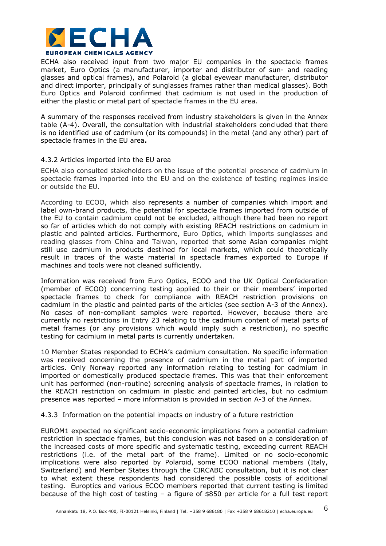

ECHA also received input from two major EU companies in the spectacle frames market, Euro Optics (a manufacturer, importer and distributor of sun- and reading glasses and optical frames), and Polaroid (a global eyewear manufacturer, distributor and direct importer, principally of sunglasses frames rather than medical glasses). Both Euro Optics and Polaroid confirmed that cadmium is not used in the production of either the plastic or metal part of spectacle frames in the EU area.

A summary of the responses received from industry stakeholders is given in the Annex table (A-4). Overall, the consultation with industrial stakeholders concluded that there is no identified use of cadmium (or its compounds) in the metal (and any other) part of spectacle frames in the EU area**.**

#### 4.3.2 Articles imported into the EU area

ECHA also consulted stakeholders on the issue of the potential presence of cadmium in spectacle frames imported into the EU and on the existence of testing regimes inside or outside the EU.

According to ECOO, which also represents a number of companies which import and label own-brand products, the potential for spectacle frames imported from outside of the EU to contain cadmium could not be excluded, although there had been no report so far of articles which do not comply with existing REACH restrictions on cadmium in plastic and painted articles. Furthermore, Euro Optics, which imports sunglasses and reading glasses from China and Taiwan, reported that some Asian companies might still use cadmium in products destined for local markets, which could theoretically result in traces of the waste material in spectacle frames exported to Europe if machines and tools were not cleaned sufficiently.

Information was received from Euro Optics, ECOO and the UK Optical Confederation (member of ECOO) concerning testing applied to their or their members' imported spectacle frames to check for compliance with REACH restriction provisions on cadmium in the plastic and painted parts of the articles (see section A-3 of the Annex). No cases of non-compliant samples were reported. However, because there are currently no restrictions in Entry 23 relating to the cadmium content of metal parts of metal frames (or any provisions which would imply such a restriction), no specific testing for cadmium in metal parts is currently undertaken.

10 Member States responded to ECHA's cadmium consultation. No specific information was received concerning the presence of cadmium in the metal part of imported articles. Only Norway reported any information relating to testing for cadmium in imported or domestically produced spectacle frames. This was that their enforcement unit has performed (non-routine) screening analysis of spectacle frames, in relation to the REACH restriction on cadmium in plastic and painted articles, but no cadmium presence was reported – more information is provided in section A-3 of the Annex.

#### 4.3.3 Information on the potential impacts on industry of a future restriction

EUROM1 expected no significant socio-economic implications from a potential cadmium restriction in spectacle frames, but this conclusion was not based on a consideration of the increased costs of more specific and systematic testing, exceeding current REACH restrictions (i.e. of the metal part of the frame). Limited or no socio-economic implications were also reported by Polaroid, some ECOO national members (Italy, Switzerland) and Member States through the CIRCABC consultation, but it is not clear to what extent these respondents had considered the possible costs of additional testing. Europtics and various ECOO members reported that current testing is limited because of the high cost of testing – a figure of \$850 per article for a full test report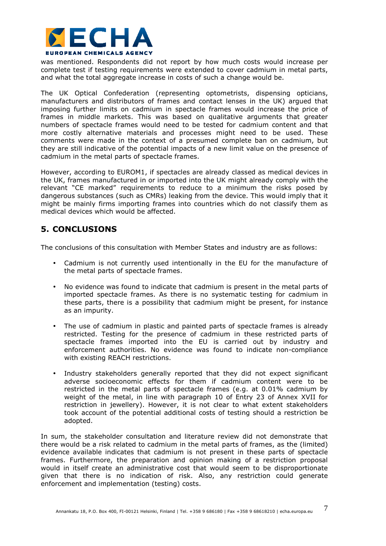

was mentioned. Respondents did not report by how much costs would increase per complete test if testing requirements were extended to cover cadmium in metal parts, and what the total aggregate increase in costs of such a change would be.

The UK Optical Confederation (representing optometrists, dispensing opticians, manufacturers and distributors of frames and contact lenses in the UK) argued that imposing further limits on cadmium in spectacle frames would increase the price of frames in middle markets. This was based on qualitative arguments that greater numbers of spectacle frames would need to be tested for cadmium content and that more costly alternative materials and processes might need to be used. These comments were made in the context of a presumed complete ban on cadmium, but they are still indicative of the potential impacts of a new limit value on the presence of cadmium in the metal parts of spectacle frames.

However, according to EUROM1, if spectacles are already classed as medical devices in the UK, frames manufactured in or imported into the UK might already comply with the relevant "CE marked" requirements to reduce to a minimum the risks posed by dangerous substances (such as CMRs) leaking from the device. This would imply that it might be mainly firms importing frames into countries which do not classify them as medical devices which would be affected.

## **5. CONCLUSIONS**

The conclusions of this consultation with Member States and industry are as follows:

- Cadmium is not currently used intentionally in the EU for the manufacture of the metal parts of spectacle frames.
- No evidence was found to indicate that cadmium is present in the metal parts of imported spectacle frames. As there is no systematic testing for cadmium in these parts, there is a possibility that cadmium might be present, for instance as an impurity.
- The use of cadmium in plastic and painted parts of spectacle frames is already restricted. Testing for the presence of cadmium in these restricted parts of spectacle frames imported into the EU is carried out by industry and enforcement authorities. No evidence was found to indicate non-compliance with existing REACH restrictions.
- Industry stakeholders generally reported that they did not expect significant adverse socioeconomic effects for them if cadmium content were to be restricted in the metal parts of spectacle frames (e.g. at 0.01% cadmium by weight of the metal, in line with paragraph 10 of Entry 23 of Annex XVII for restriction in jewellery). However, it is not clear to what extent stakeholders took account of the potential additional costs of testing should a restriction be adopted.

In sum, the stakeholder consultation and literature review did not demonstrate that there would be a risk related to cadmium in the metal parts of frames, as the (limited) evidence available indicates that cadmium is not present in these parts of spectacle frames. Furthermore, the preparation and opinion making of a restriction proposal would in itself create an administrative cost that would seem to be disproportionate given that there is no indication of risk. Also, any restriction could generate enforcement and implementation (testing) costs.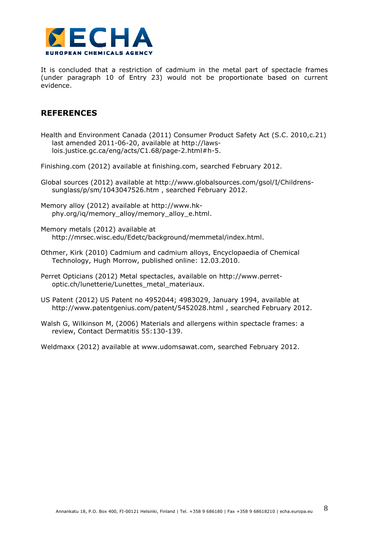

It is concluded that a restriction of cadmium in the metal part of spectacle frames (under paragraph 10 of Entry 23) would not be proportionate based on current evidence.

### **REFERENCES**

Health and Environment Canada (2011) Consumer Product Safety Act (S.C. 2010,c.21) last amended 2011-06-20, available at http://lawslois.justice.gc.ca/eng/acts/C1.68/page-2.html#h-5.

Finishing.com (2012) available at finishing.com, searched February 2012.

- Global sources (2012) available at http://www.globalsources.com/gsol/I/Childrenssunglass/p/sm/1043047526.htm , searched February 2012.
- Memory alloy (2012) available at http://www.hkphy.org/iq/memory\_alloy/memory\_alloy\_e.html.
- Memory metals (2012) available at http://mrsec.wisc.edu/Edetc/background/memmetal/index.html.
- Othmer, Kirk (2010) Cadmium and cadmium alloys, Encyclopaedia of Chemical Technology, Hugh Morrow, published online: 12.03.2010.
- Perret Opticians (2012) Metal spectacles, available on http://www.perretoptic.ch/lunetterie/Lunettes\_metal\_materiaux.
- US Patent (2012) US Patent no 4952044; 4983029, January 1994, available at http://www.patentgenius.com/patent/5452028.html , searched February 2012.
- Walsh G, Wilkinson M, (2006) Materials and allergens within spectacle frames: a review, Contact Dermatitis 55:130-139.

Weldmaxx (2012) available at www.udomsawat.com, searched February 2012.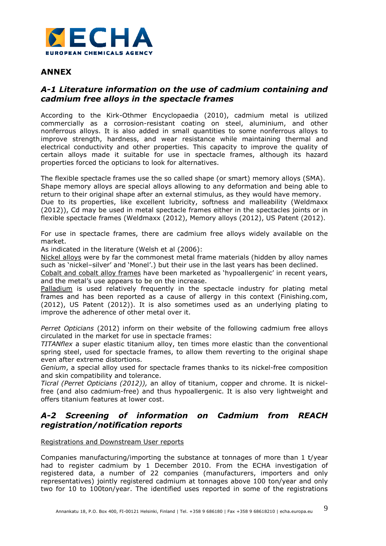

### **ANNEX**

### *A-1 Literature information on the use of cadmium containing and cadmium free alloys in the spectacle frames*

According to the Kirk-Othmer Encyclopaedia (2010), cadmium metal is utilized commercially as a corrosion-resistant coating on steel, aluminium, and other nonferrous alloys. It is also added in small quantities to some nonferrous alloys to improve strength, hardness, and wear resistance while maintaining thermal and electrical conductivity and other properties. This capacity to improve the quality of certain alloys made it suitable for use in spectacle frames, although its hazard properties forced the opticians to look for alternatives.

The flexible spectacle frames use the so called shape (or smart) memory alloys (SMA). Shape memory alloys are special alloys allowing to any deformation and being able to return to their original shape after an external stimulus, as they would have memory. Due to its properties, like excellent lubricity, softness and malleability (Weldmaxx (2012)), Cd may be used in metal spectacle frames either in the spectacles joints or in flexible spectacle frames (Weldmaxx (2012), Memory alloys (2012), US Patent (2012).

For use in spectacle frames, there are cadmium free alloys widely available on the market.

As indicated in the literature (Welsh et al (2006):

Nickel alloys were by far the commonest metal frame materials (hidden by alloy names such as 'nickel–silver' and 'Monel'.) but their use in the last years has been declined.

Cobalt and cobalt alloy frames have been marketed as 'hypoallergenic' in recent years, and the metal's use appears to be on the increase.

Palladium is used relatively frequently in the spectacle industry for plating metal frames and has been reported as a cause of allergy in this context (Finishing.com, (2012), US Patent (2012)). It is also sometimes used as an underlying plating to improve the adherence of other metal over it.

*Perret Opticians* (2012) inform on their website of the following cadmium free alloys circulated in the market for use in spectacle frames:

*TITANflex* a super elastic titanium alloy, ten times more elastic than the conventional spring steel, used for spectacle frames, to allow them reverting to the original shape even after extreme distortions.

*Genium*, a special alloy used for spectacle frames thanks to its nickel-free composition and skin compatibility and tolerance.

*Ticral (Perret Opticians (2012)),* an alloy of titanium, copper and chrome. It is nickelfree (and also cadmium-free) and thus hypoallergenic. It is also very lightweight and offers titanium features at lower cost.

## *A-2 Screening of information on Cadmium from REACH registration/notification reports*

### Registrations and Downstream User reports

Companies manufacturing/importing the substance at tonnages of more than 1 t/year had to register cadmium by 1 December 2010. From the ECHA investigation of registered data, a number of 22 companies (manufacturers, importers and only representatives) jointly registered cadmium at tonnages above 100 ton/year and only two for 10 to 100ton/year. The identified uses reported in some of the registrations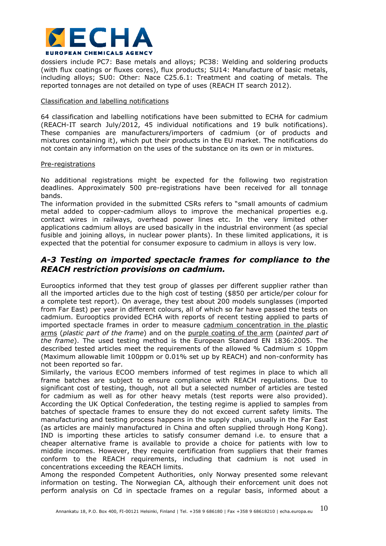

dossiers include PC7: Base metals and alloys; PC38: Welding and soldering products (with flux coatings or fluxes cores), flux products; SU14: Manufacture of basic metals, including alloys; SU0: Other: Nace C25.6.1: Treatment and coating of metals. The reported tonnages are not detailed on type of uses (REACH IT search 2012).

#### Classification and labelling notifications

64 classification and labelling notifications have been submitted to ECHA for cadmium (REACH-IT search July/2012, 45 individual notifications and 19 bulk notifications). These companies are manufacturers/importers of cadmium (or of products and mixtures containing it), which put their products in the EU market. The notifications do not contain any information on the uses of the substance on its own or in mixtures.

#### Pre-registrations

No additional registrations might be expected for the following two registration deadlines. Approximately 500 pre-registrations have been received for all tonnage bands.

The information provided in the submitted CSRs refers to "small amounts of cadmium metal added to copper-cadmium alloys to improve the mechanical properties e.g. contact wires in railways, overhead power lines etc. In the very limited other applications cadmium alloys are used basically in the industrial environment (as special fusible and joining alloys, in nuclear power plants). In these limited applications, it is expected that the potential for consumer exposure to cadmium in alloys is very low.

### *A-3 Testing on imported spectacle frames for compliance to the REACH restriction provisions on cadmium.*

Eurooptics informed that they test group of glasses per different supplier rather than all the imported articles due to the high cost of testing (\$850 per article/per colour for a complete test report). On average, they test about 200 models sunglasses (imported from Far East) per year in different colours, all of which so far have passed the tests on cadmium. Eurooptics provided ECHA with reports of recent testing applied to parts of imported spectacle frames in order to measure cadmium concentration in the plastic arms (*plastic part of the frame*) and on the purple coating of the arm (*painted part of the frame*). The used testing method is the European Standard EN 1836:2005. The described tested articles meet the requirements of the allowed % Cadmium  $\leq 10$ ppm (Maximum allowable limit 100ppm or 0.01% set up by REACH) and non-conformity has not been reported so far.

Similarly, the various ECOO members informed of test regimes in place to which all frame batches are subject to ensure compliance with REACH regulations. Due to significant cost of testing, though, not all but a selected number of articles are tested for cadmium as well as for other heavy metals (test reports were also provided). According the UK Optical Confederation, the testing regime is applied to samples from batches of spectacle frames to ensure they do not exceed current safety limits. The manufacturing and testing process happens in the supply chain, usually in the Far East (as articles are mainly manufactured in China and often supplied through Hong Kong). IND is importing these articles to satisfy consumer demand i.e. to ensure that a cheaper alternative frame is available to provide a choice for patients with low to middle incomes. However, they require certification from suppliers that their frames conform to the REACH requirements, including that cadmium is not used in concentrations exceeding the REACH limits.

Among the responded Competent Authorities, only Norway presented some relevant information on testing. The Norwegian CA, although their enforcement unit does not perform analysis on Cd in spectacle frames on a regular basis, informed about a